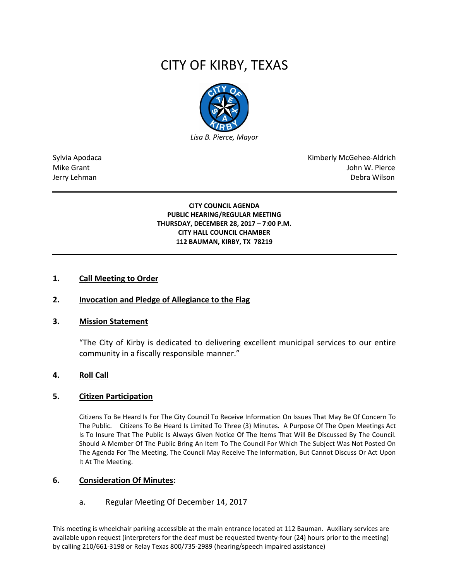# CITY OF KIRBY, TEXAS



Sylvia Apodaca National Apodaca Kimberly McGehee-Aldrich Mike Grant John W. Pierce Jerry Lehman Debra Wilson (2008) and the state of the state of the state of the state of the state of the state of the state of the state of the state of the state of the state of the state of the state of the state of the

#### **CITY COUNCIL AGENDA PUBLIC HEARING/REGULAR MEETING THURSDAY, DECEMBER 28, 2017 – 7:00 P.M. CITY HALL COUNCIL CHAMBER 112 BAUMAN, KIRBY, TX 78219**

### **1. Call Meeting to Order**

## **2. Invocation and Pledge of Allegiance to the Flag**

#### **3. Mission Statement**

"The City of Kirby is dedicated to delivering excellent municipal services to our entire community in a fiscally responsible manner."

#### **4. Roll Call**

#### **5. Citizen Participation**

Citizens To Be Heard Is For The City Council To Receive Information On Issues That May Be Of Concern To The Public. Citizens To Be Heard Is Limited To Three (3) Minutes. A Purpose Of The Open Meetings Act Is To Insure That The Public Is Always Given Notice Of The Items That Will Be Discussed By The Council. Should A Member Of The Public Bring An Item To The Council For Which The Subject Was Not Posted On The Agenda For The Meeting, The Council May Receive The Information, But Cannot Discuss Or Act Upon It At The Meeting.

#### **6. Consideration Of Minutes:**

#### a. Regular Meeting Of December 14, 2017

This meeting is wheelchair parking accessible at the main entrance located at 112 Bauman. Auxiliary services are available upon request (interpreters for the deaf must be requested twenty-four (24) hours prior to the meeting) by calling 210/661-3198 or Relay Texas 800/735-2989 (hearing/speech impaired assistance)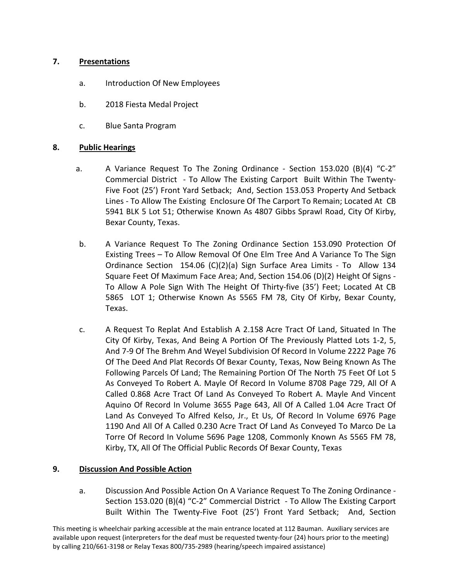## **7. Presentations**

- a. Introduction Of New Employees
- b. 2018 Fiesta Medal Project
- c. Blue Santa Program

## **8. Public Hearings**

- a. A Variance Request To The Zoning Ordinance Section 153.020 (B)(4) "C-2" Commercial District - To Allow The Existing Carport Built Within The Twenty-Five Foot (25') Front Yard Setback; And, Section 153.053 Property And Setback Lines - To Allow The Existing Enclosure Of The Carport To Remain; Located At CB 5941 BLK 5 Lot 51; Otherwise Known As 4807 Gibbs Sprawl Road, City Of Kirby, Bexar County, Texas.
- b. A Variance Request To The Zoning Ordinance Section 153.090 Protection Of Existing Trees – To Allow Removal Of One Elm Tree And A Variance To The Sign Ordinance Section 154.06 (C)(2)(a) Sign Surface Area Limits - To Allow 134 Square Feet Of Maximum Face Area; And, Section 154.06 (D)(2) Height Of Signs - To Allow A Pole Sign With The Height Of Thirty-five (35') Feet; Located At CB 5865 LOT 1; Otherwise Known As 5565 FM 78, City Of Kirby, Bexar County, Texas.
- c. A Request To Replat And Establish A 2.158 Acre Tract Of Land, Situated In The City Of Kirby, Texas, And Being A Portion Of The Previously Platted Lots 1-2, 5, And 7-9 Of The Brehm And Weyel Subdivision Of Record In Volume 2222 Page 76 Of The Deed And Plat Records Of Bexar County, Texas, Now Being Known As The Following Parcels Of Land; The Remaining Portion Of The North 75 Feet Of Lot 5 As Conveyed To Robert A. Mayle Of Record In Volume 8708 Page 729, All Of A Called 0.868 Acre Tract Of Land As Conveyed To Robert A. Mayle And Vincent Aquino Of Record In Volume 3655 Page 643, All Of A Called 1.04 Acre Tract Of Land As Conveyed To Alfred Kelso, Jr., Et Us, Of Record In Volume 6976 Page 1190 And All Of A Called 0.230 Acre Tract Of Land As Conveyed To Marco De La Torre Of Record In Volume 5696 Page 1208, Commonly Known As 5565 FM 78, Kirby, TX, All Of The Official Public Records Of Bexar County, Texas

## **9. Discussion And Possible Action**

a. Discussion And Possible Action On A Variance Request To The Zoning Ordinance - Section 153.020 (B)(4) "C-2" Commercial District - To Allow The Existing Carport Built Within The Twenty-Five Foot (25') Front Yard Setback; And, Section

This meeting is wheelchair parking accessible at the main entrance located at 112 Bauman. Auxiliary services are available upon request (interpreters for the deaf must be requested twenty-four (24) hours prior to the meeting) by calling 210/661-3198 or Relay Texas 800/735-2989 (hearing/speech impaired assistance)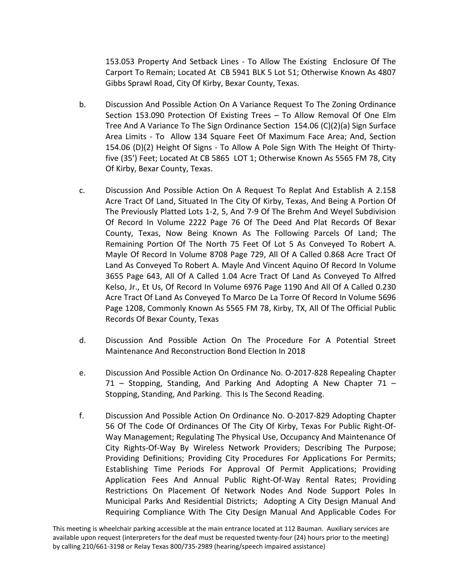153.053 Property And Setback Lines - To Allow The Existing Enclosure Of The Carport To Remain; Located At CB 5941 BLK 5 Lot 51; Otherwise Known As 4807 Gibbs Sprawl Road, City Of Kirby, Bexar County, Texas.

- b. Discussion And Possible Action On A Variance Request To The Zoning Ordinance Section 153.090 Protection Of Existing Trees – To Allow Removal Of One Elm Tree And A Variance To The Sign Ordinance Section 154.06 (C)(2)(a) Sign Surface Area Limits - To Allow 134 Square Feet Of Maximum Face Area; And, Section 154.06 (D)(2) Height Of Signs - To Allow A Pole Sign With The Height Of Thirtyfive (35') Feet; Located At CB 5865 LOT 1; Otherwise Known As 5565 FM 78, City Of Kirby, Bexar County, Texas.
- c. Discussion And Possible Action On A Request To Replat And Establish A 2.158 Acre Tract Of Land, Situated In The City Of Kirby, Texas, And Being A Portion Of The Previously Platted Lots 1-2, 5, And 7-9 Of The Brehm And Weyel Subdivision Of Record In Volume 2222 Page 76 Of The Deed And Plat Records Of Bexar County, Texas, Now Being Known As The Following Parcels Of Land; The Remaining Portion Of The North 75 Feet Of Lot 5 As Conveyed To Robert A. Mayle Of Record In Volume 8708 Page 729, All Of A Called 0.868 Acre Tract Of Land As Conveyed To Robert A. Mayle And Vincent Aquino Of Record In Volume 3655 Page 643, All Of A Called 1.04 Acre Tract Of Land As Conveyed To Alfred Kelso, Jr., Et Us, Of Record In Volume 6976 Page 1190 And All Of A Called 0.230 Acre Tract Of Land As Conveyed To Marco De La Torre Of Record In Volume 5696 Page 1208, Commonly Known As 5565 FM 78, Kirby, TX, All Of The Official Public Records Of Bexar County, Texas
- d. Discussion And Possible Action On The Procedure For A Potential Street Maintenance And Reconstruction Bond Election In 2018
- e. Discussion And Possible Action On Ordinance No. O-2017-828 Repealing Chapter 71 – Stopping, Standing, And Parking And Adopting A New Chapter 71 – Stopping, Standing, And Parking. This Is The Second Reading.
- f. Discussion And Possible Action On Ordinance No. O-2017-829 Adopting Chapter 56 Of The Code Of Ordinances Of The City Of Kirby, Texas For Public Right-Of-Way Management; Regulating The Physical Use, Occupancy And Maintenance Of City Rights-Of-Way By Wireless Network Providers; Describing The Purpose; Providing Definitions; Providing City Procedures For Applications For Permits; Establishing Time Periods For Approval Of Permit Applications; Providing Application Fees And Annual Public Right-Of-Way Rental Rates; Providing Restrictions On Placement Of Network Nodes And Node Support Poles In Municipal Parks And Residential Districts; Adopting A City Design Manual And Requiring Compliance With The City Design Manual And Applicable Codes For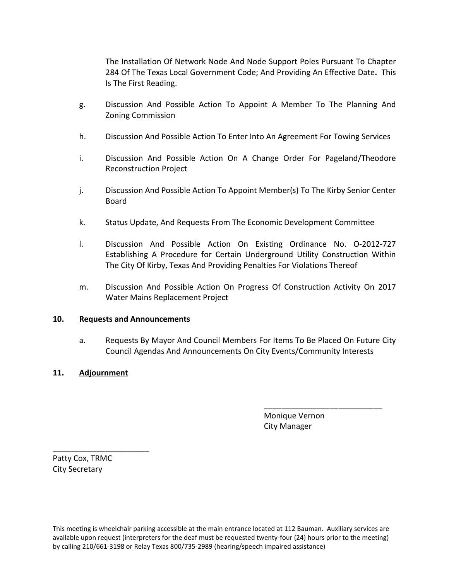The Installation Of Network Node And Node Support Poles Pursuant To Chapter 284 Of The Texas Local Government Code; And Providing An Effective Date**.** This Is The First Reading.

- g. Discussion And Possible Action To Appoint A Member To The Planning And Zoning Commission
- h. Discussion And Possible Action To Enter Into An Agreement For Towing Services
- i. Discussion And Possible Action On A Change Order For Pageland/Theodore Reconstruction Project
- j. Discussion And Possible Action To Appoint Member(s) To The Kirby Senior Center Board
- k. Status Update, And Requests From The Economic Development Committee
- l. Discussion And Possible Action On Existing Ordinance No. O-2012-727 Establishing A Procedure for Certain Underground Utility Construction Within The City Of Kirby, Texas And Providing Penalties For Violations Thereof
- m. Discussion And Possible Action On Progress Of Construction Activity On 2017 Water Mains Replacement Project

## **10. Requests and Announcements**

a. Requests By Mayor And Council Members For Items To Be Placed On Future City Council Agendas And Announcements On City Events/Community Interests

## **11. Adjournment**

 Monique Vernon City Manager

\_\_\_\_\_\_\_\_\_\_\_\_\_\_\_\_\_\_\_\_\_\_\_\_\_\_\_

Patty Cox, TRMC City Secretary

\_\_\_\_\_\_\_\_\_\_\_\_\_\_\_\_\_\_\_\_\_\_